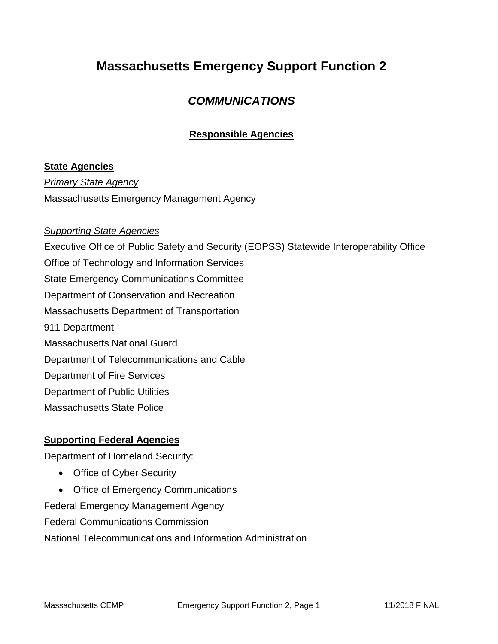# **Massachusetts Emergency Support Function 2**

## *COMMUNICATIONS*

### **Responsible Agencies**

#### **State Agencies**

*Primary State Agency* Massachusetts Emergency Management Agency

#### *Supporting State Agencies*

Executive Office of Public Safety and Security (EOPSS) Statewide Interoperability Office Office of Technology and Information Services State Emergency Communications Committee Department of Conservation and Recreation Massachusetts Department of Transportation 911 Department Massachusetts National Guard Department of Telecommunications and Cable Department of Fire Services Department of Public Utilities Massachusetts State Police

#### **Supporting Federal Agencies**

Department of Homeland Security:

- Office of Cyber Security
- Office of Emergency Communications

Federal Emergency Management Agency

Federal Communications Commission

National Telecommunications and Information Administration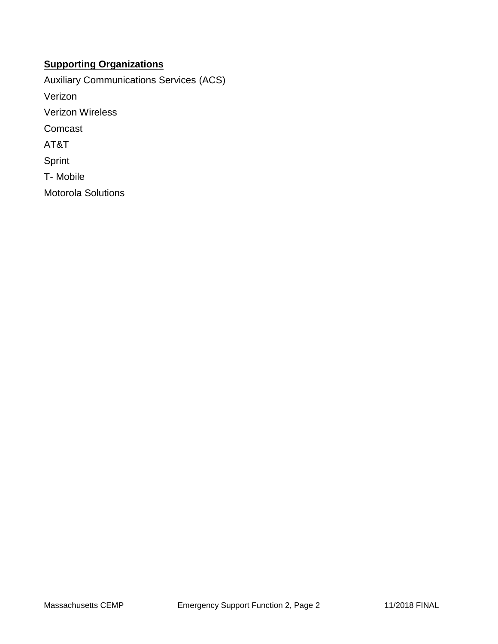### **Supporting Organizations**

Auxiliary Communications Services (ACS) Verizon Verizon Wireless Comcast AT&T Sprint T- Mobile Motorola Solutions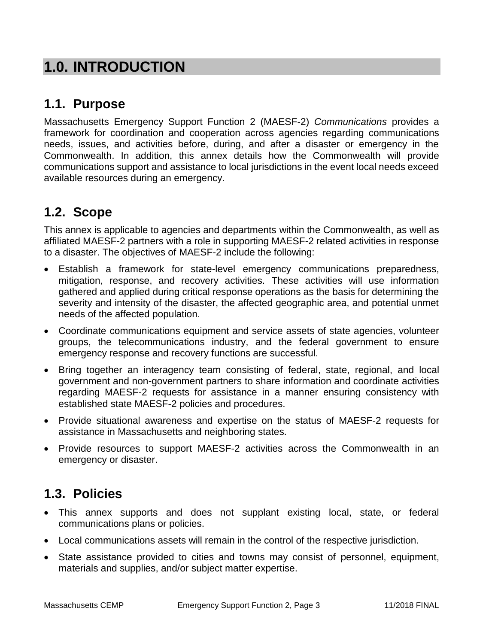# **1.0. INTRODUCTION**

## **1.1. Purpose**

Massachusetts Emergency Support Function 2 (MAESF-2) *Communications* provides a framework for coordination and cooperation across agencies regarding communications needs, issues, and activities before, during, and after a disaster or emergency in the Commonwealth. In addition, this annex details how the Commonwealth will provide communications support and assistance to local jurisdictions in the event local needs exceed available resources during an emergency.

# **1.2. Scope**

This annex is applicable to agencies and departments within the Commonwealth, as well as affiliated MAESF-2 partners with a role in supporting MAESF-2 related activities in response to a disaster. The objectives of MAESF-2 include the following:

- Establish a framework for state-level emergency communications preparedness, mitigation, response, and recovery activities. These activities will use information gathered and applied during critical response operations as the basis for determining the severity and intensity of the disaster, the affected geographic area, and potential unmet needs of the affected population.
- Coordinate communications equipment and service assets of state agencies, volunteer groups, the telecommunications industry, and the federal government to ensure emergency response and recovery functions are successful.
- Bring together an interagency team consisting of federal, state, regional, and local government and non-government partners to share information and coordinate activities regarding MAESF-2 requests for assistance in a manner ensuring consistency with established state MAESF-2 policies and procedures.
- Provide situational awareness and expertise on the status of MAESF-2 requests for assistance in Massachusetts and neighboring states.
- Provide resources to support MAESF-2 activities across the Commonwealth in an emergency or disaster.

## **1.3. Policies**

- This annex supports and does not supplant existing local, state, or federal communications plans or policies.
- Local communications assets will remain in the control of the respective jurisdiction.
- State assistance provided to cities and towns may consist of personnel, equipment, materials and supplies, and/or subject matter expertise.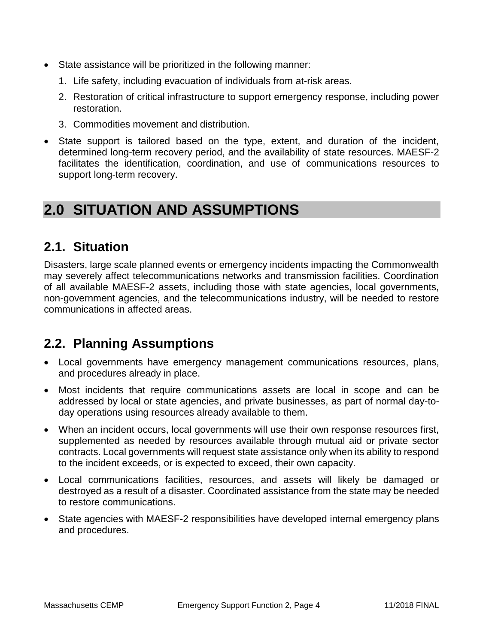- State assistance will be prioritized in the following manner:
	- 1. Life safety, including evacuation of individuals from at-risk areas.
	- 2. Restoration of critical infrastructure to support emergency response, including power restoration.
	- 3. Commodities movement and distribution.
- State support is tailored based on the type, extent, and duration of the incident, determined long-term recovery period, and the availability of state resources. MAESF-2 facilitates the identification, coordination, and use of communications resources to support long-term recovery.

# **2.0 SITUATION AND ASSUMPTIONS**

## **2.1. Situation**

Disasters, large scale planned events or emergency incidents impacting the Commonwealth may severely affect telecommunications networks and transmission facilities. Coordination of all available MAESF-2 assets, including those with state agencies, local governments, non-government agencies, and the telecommunications industry, will be needed to restore communications in affected areas.

## **2.2. Planning Assumptions**

- Local governments have emergency management communications resources, plans, and procedures already in place.
- Most incidents that require communications assets are local in scope and can be addressed by local or state agencies, and private businesses, as part of normal day-today operations using resources already available to them.
- When an incident occurs, local governments will use their own response resources first, supplemented as needed by resources available through mutual aid or private sector contracts. Local governments will request state assistance only when its ability to respond to the incident exceeds, or is expected to exceed, their own capacity.
- Local communications facilities, resources, and assets will likely be damaged or destroyed as a result of a disaster. Coordinated assistance from the state may be needed to restore communications.
- State agencies with MAESF-2 responsibilities have developed internal emergency plans and procedures.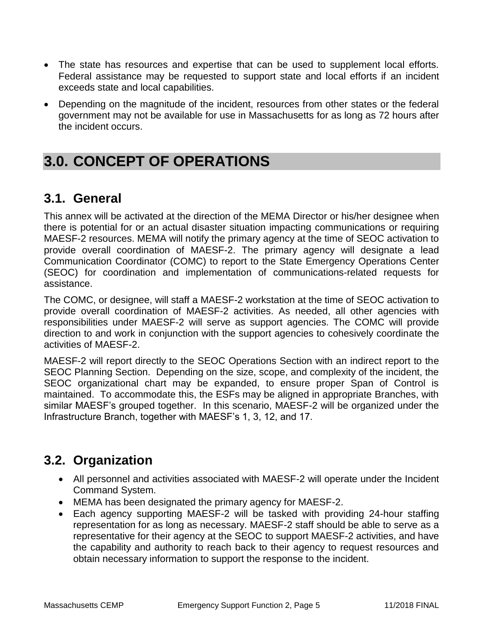- The state has resources and expertise that can be used to supplement local efforts. Federal assistance may be requested to support state and local efforts if an incident exceeds state and local capabilities.
- Depending on the magnitude of the incident, resources from other states or the federal government may not be available for use in Massachusetts for as long as 72 hours after the incident occurs.

# **3.0. CONCEPT OF OPERATIONS**

## **3.1. General**

This annex will be activated at the direction of the MEMA Director or his/her designee when there is potential for or an actual disaster situation impacting communications or requiring MAESF-2 resources. MEMA will notify the primary agency at the time of SEOC activation to provide overall coordination of MAESF-2. The primary agency will designate a lead Communication Coordinator (COMC) to report to the State Emergency Operations Center (SEOC) for coordination and implementation of communications-related requests for assistance.

The COMC, or designee, will staff a MAESF-2 workstation at the time of SEOC activation to provide overall coordination of MAESF-2 activities. As needed, all other agencies with responsibilities under MAESF-2 will serve as support agencies. The COMC will provide direction to and work in conjunction with the support agencies to cohesively coordinate the activities of MAESF-2.

MAESF-2 will report directly to the SEOC Operations Section with an indirect report to the SEOC Planning Section. Depending on the size, scope, and complexity of the incident, the SEOC organizational chart may be expanded, to ensure proper Span of Control is maintained. To accommodate this, the ESFs may be aligned in appropriate Branches, with similar MAESF's grouped together. In this scenario, MAESF-2 will be organized under the Infrastructure Branch, together with MAESF's 1, 3, 12, and 17.

## **3.2. Organization**

- All personnel and activities associated with MAESF-2 will operate under the Incident Command System.
- MEMA has been designated the primary agency for MAESF-2.
- Each agency supporting MAESF-2 will be tasked with providing 24-hour staffing representation for as long as necessary. MAESF-2 staff should be able to serve as a representative for their agency at the SEOC to support MAESF-2 activities, and have the capability and authority to reach back to their agency to request resources and obtain necessary information to support the response to the incident.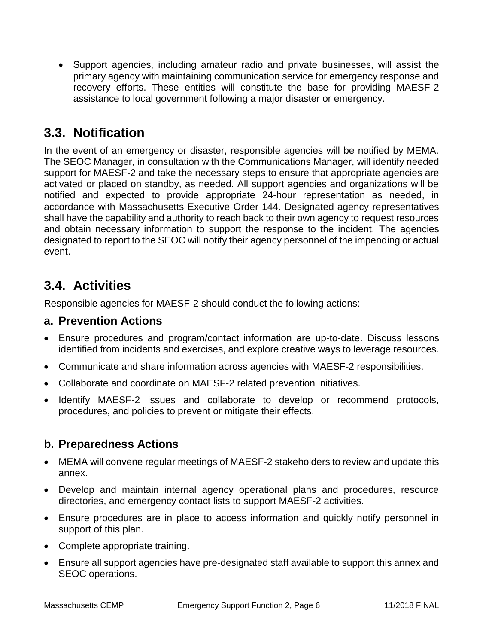Support agencies, including amateur radio and private businesses, will assist the primary agency with maintaining communication service for emergency response and recovery efforts. These entities will constitute the base for providing MAESF-2 assistance to local government following a major disaster or emergency.

## **3.3. Notification**

In the event of an emergency or disaster, responsible agencies will be notified by MEMA. The SEOC Manager, in consultation with the Communications Manager, will identify needed support for MAESF-2 and take the necessary steps to ensure that appropriate agencies are activated or placed on standby, as needed. All support agencies and organizations will be notified and expected to provide appropriate 24-hour representation as needed, in accordance with Massachusetts Executive Order 144. Designated agency representatives shall have the capability and authority to reach back to their own agency to request resources and obtain necessary information to support the response to the incident. The agencies designated to report to the SEOC will notify their agency personnel of the impending or actual event.

# **3.4. Activities**

Responsible agencies for MAESF-2 should conduct the following actions:

### **a. Prevention Actions**

- Ensure procedures and program/contact information are up-to-date. Discuss lessons identified from incidents and exercises, and explore creative ways to leverage resources.
- Communicate and share information across agencies with MAESF-2 responsibilities.
- Collaborate and coordinate on MAESF-2 related prevention initiatives.
- Identify MAESF-2 issues and collaborate to develop or recommend protocols, procedures, and policies to prevent or mitigate their effects.

### **b. Preparedness Actions**

- MEMA will convene regular meetings of MAESF-2 stakeholders to review and update this annex.
- Develop and maintain internal agency operational plans and procedures, resource directories, and emergency contact lists to support MAESF-2 activities.
- Ensure procedures are in place to access information and quickly notify personnel in support of this plan.
- Complete appropriate training.
- Ensure all support agencies have pre-designated staff available to support this annex and SEOC operations.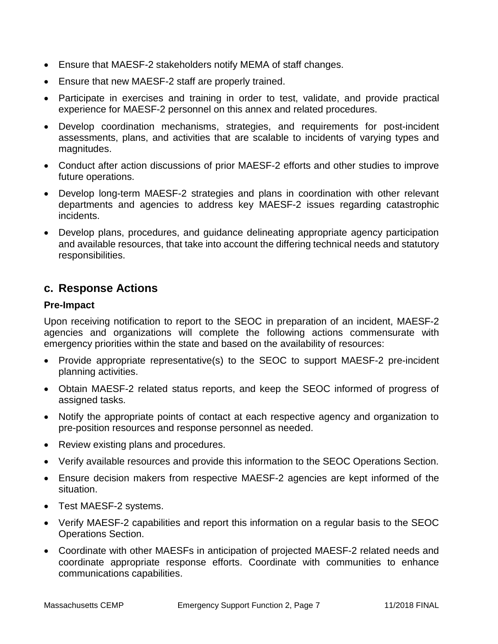- Ensure that MAESF-2 stakeholders notify MEMA of staff changes.
- Ensure that new MAESF-2 staff are properly trained.
- Participate in exercises and training in order to test, validate, and provide practical experience for MAESF-2 personnel on this annex and related procedures.
- Develop coordination mechanisms, strategies, and requirements for post-incident assessments, plans, and activities that are scalable to incidents of varying types and magnitudes.
- Conduct after action discussions of prior MAESF-2 efforts and other studies to improve future operations.
- Develop long-term MAESF-2 strategies and plans in coordination with other relevant departments and agencies to address key MAESF-2 issues regarding catastrophic incidents.
- Develop plans, procedures, and guidance delineating appropriate agency participation and available resources, that take into account the differing technical needs and statutory responsibilities.

### **c. Response Actions**

#### **Pre-Impact**

Upon receiving notification to report to the SEOC in preparation of an incident, MAESF-2 agencies and organizations will complete the following actions commensurate with emergency priorities within the state and based on the availability of resources:

- Provide appropriate representative(s) to the SEOC to support MAESF-2 pre-incident planning activities.
- Obtain MAESF-2 related status reports, and keep the SEOC informed of progress of assigned tasks.
- Notify the appropriate points of contact at each respective agency and organization to pre-position resources and response personnel as needed.
- Review existing plans and procedures.
- Verify available resources and provide this information to the SEOC Operations Section.
- Ensure decision makers from respective MAESF-2 agencies are kept informed of the situation.
- Test MAESF-2 systems.
- Verify MAESF-2 capabilities and report this information on a regular basis to the SEOC Operations Section.
- Coordinate with other MAESFs in anticipation of projected MAESF-2 related needs and coordinate appropriate response efforts. Coordinate with communities to enhance communications capabilities.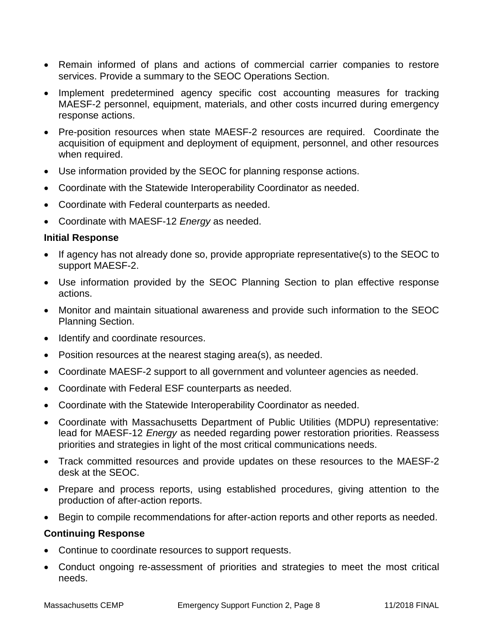- Remain informed of plans and actions of commercial carrier companies to restore services. Provide a summary to the SEOC Operations Section.
- Implement predetermined agency specific cost accounting measures for tracking MAESF-2 personnel, equipment, materials, and other costs incurred during emergency response actions.
- Pre-position resources when state MAESF-2 resources are required. Coordinate the acquisition of equipment and deployment of equipment, personnel, and other resources when required.
- Use information provided by the SEOC for planning response actions.
- Coordinate with the Statewide Interoperability Coordinator as needed.
- Coordinate with Federal counterparts as needed.
- Coordinate with MAESF-12 *Energy* as needed.

#### **Initial Response**

- If agency has not already done so, provide appropriate representative(s) to the SEOC to support MAESF-2.
- Use information provided by the SEOC Planning Section to plan effective response actions.
- Monitor and maintain situational awareness and provide such information to the SEOC Planning Section.
- Identify and coordinate resources.
- Position resources at the nearest staging area(s), as needed.
- Coordinate MAESF-2 support to all government and volunteer agencies as needed.
- Coordinate with Federal ESF counterparts as needed.
- Coordinate with the Statewide Interoperability Coordinator as needed.
- Coordinate with Massachusetts Department of Public Utilities (MDPU) representative: lead for MAESF-12 *Energy* as needed regarding power restoration priorities. Reassess priorities and strategies in light of the most critical communications needs.
- Track committed resources and provide updates on these resources to the MAESF-2 desk at the SEOC.
- Prepare and process reports, using established procedures, giving attention to the production of after-action reports.
- Begin to compile recommendations for after-action reports and other reports as needed.

#### **Continuing Response**

- Continue to coordinate resources to support requests.
- Conduct ongoing re-assessment of priorities and strategies to meet the most critical needs.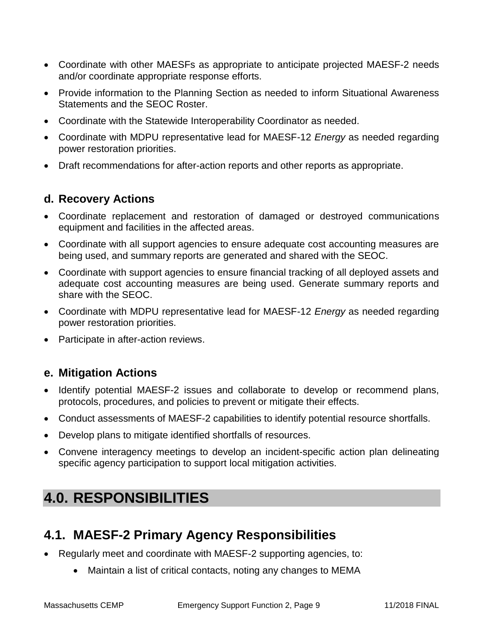- Coordinate with other MAESFs as appropriate to anticipate projected MAESF-2 needs and/or coordinate appropriate response efforts.
- Provide information to the Planning Section as needed to inform Situational Awareness Statements and the SEOC Roster.
- Coordinate with the Statewide Interoperability Coordinator as needed.
- Coordinate with MDPU representative lead for MAESF-12 *Energy* as needed regarding power restoration priorities.
- Draft recommendations for after-action reports and other reports as appropriate.

### **d. Recovery Actions**

- Coordinate replacement and restoration of damaged or destroyed communications equipment and facilities in the affected areas.
- Coordinate with all support agencies to ensure adequate cost accounting measures are being used, and summary reports are generated and shared with the SEOC.
- Coordinate with support agencies to ensure financial tracking of all deployed assets and adequate cost accounting measures are being used. Generate summary reports and share with the SEOC.
- Coordinate with MDPU representative lead for MAESF-12 *Energy* as needed regarding power restoration priorities.
- Participate in after-action reviews.

### **e. Mitigation Actions**

- Identify potential MAESF-2 issues and collaborate to develop or recommend plans, protocols, procedures, and policies to prevent or mitigate their effects.
- Conduct assessments of MAESF-2 capabilities to identify potential resource shortfalls.
- Develop plans to mitigate identified shortfalls of resources.
- Convene interagency meetings to develop an incident-specific action plan delineating specific agency participation to support local mitigation activities.

# **4.0. RESPONSIBILITIES**

# **4.1. MAESF-2 Primary Agency Responsibilities**

- Regularly meet and coordinate with MAESF-2 supporting agencies, to:
	- Maintain a list of critical contacts, noting any changes to MEMA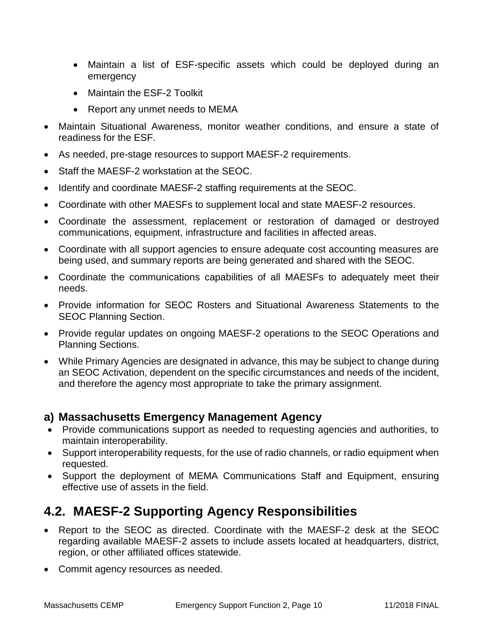- Maintain a list of ESF-specific assets which could be deployed during an emergency
- Maintain the ESF-2 Toolkit
- Report any unmet needs to MEMA
- Maintain Situational Awareness, monitor weather conditions, and ensure a state of readiness for the ESF.
- As needed, pre-stage resources to support MAESF-2 requirements.
- Staff the MAESF-2 workstation at the SEOC.
- Identify and coordinate MAESF-2 staffing requirements at the SEOC.
- Coordinate with other MAESFs to supplement local and state MAESF-2 resources.
- Coordinate the assessment, replacement or restoration of damaged or destroyed communications, equipment, infrastructure and facilities in affected areas.
- Coordinate with all support agencies to ensure adequate cost accounting measures are being used, and summary reports are being generated and shared with the SEOC.
- Coordinate the communications capabilities of all MAESFs to adequately meet their needs.
- Provide information for SEOC Rosters and Situational Awareness Statements to the SEOC Planning Section.
- Provide regular updates on ongoing MAESF-2 operations to the SEOC Operations and Planning Sections.
- While Primary Agencies are designated in advance, this may be subject to change during an SEOC Activation, dependent on the specific circumstances and needs of the incident, and therefore the agency most appropriate to take the primary assignment.

### **a) Massachusetts Emergency Management Agency**

- Provide communications support as needed to requesting agencies and authorities, to maintain interoperability.
- Support interoperability requests, for the use of radio channels, or radio equipment when requested.
- Support the deployment of MEMA Communications Staff and Equipment, ensuring effective use of assets in the field.

## **4.2. MAESF-2 Supporting Agency Responsibilities**

- Report to the SEOC as directed. Coordinate with the MAESF-2 desk at the SEOC regarding available MAESF-2 assets to include assets located at headquarters, district, region, or other affiliated offices statewide.
- Commit agency resources as needed.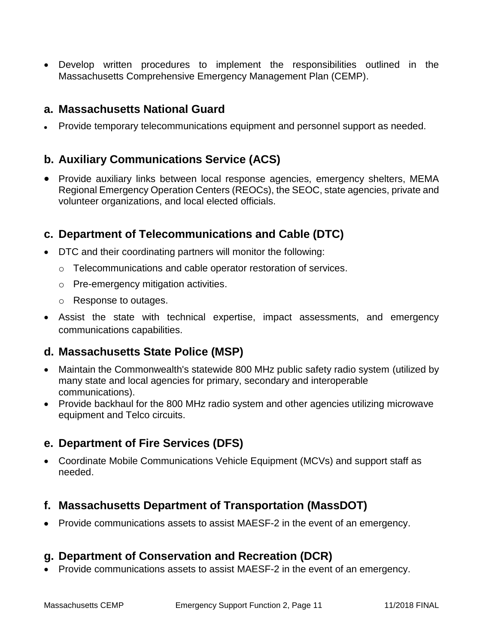Develop written procedures to implement the responsibilities outlined in the Massachusetts Comprehensive Emergency Management Plan (CEMP).

### **a. Massachusetts National Guard**

Provide temporary telecommunications equipment and personnel support as needed.

### **b. Auxiliary Communications Service (ACS)**

• Provide auxiliary links between local response agencies, emergency shelters, MEMA Regional Emergency Operation Centers (REOCs), the SEOC, state agencies, private and volunteer organizations, and local elected officials.

### **c. Department of Telecommunications and Cable (DTC)**

- DTC and their coordinating partners will monitor the following:
	- o Telecommunications and cable operator restoration of services.
	- o Pre-emergency mitigation activities.
	- o Response to outages.
- Assist the state with technical expertise, impact assessments, and emergency communications capabilities.

## **d. Massachusetts State Police (MSP)**

- Maintain the Commonwealth's statewide 800 MHz public safety radio system (utilized by many state and local agencies for primary, secondary and interoperable communications).
- Provide backhaul for the 800 MHz radio system and other agencies utilizing microwave equipment and Telco circuits.

## **e. Department of Fire Services (DFS)**

 Coordinate Mobile Communications Vehicle Equipment (MCVs) and support staff as needed.

### **f. Massachusetts Department of Transportation (MassDOT)**

• Provide communications assets to assist MAESF-2 in the event of an emergency.

### **g. Department of Conservation and Recreation (DCR)**

• Provide communications assets to assist MAESF-2 in the event of an emergency.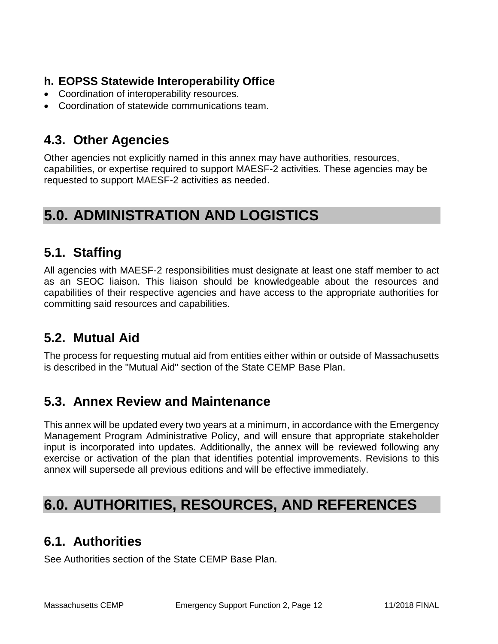## **h. EOPSS Statewide Interoperability Office**

- Coordination of interoperability resources.
- Coordination of statewide communications team.

## **4.3. Other Agencies**

Other agencies not explicitly named in this annex may have authorities, resources, capabilities, or expertise required to support MAESF-2 activities. These agencies may be requested to support MAESF-2 activities as needed.

# **5.0. ADMINISTRATION AND LOGISTICS**

## **5.1. Staffing**

All agencies with MAESF-2 responsibilities must designate at least one staff member to act as an SEOC liaison. This liaison should be knowledgeable about the resources and capabilities of their respective agencies and have access to the appropriate authorities for committing said resources and capabilities.

## **5.2. Mutual Aid**

The process for requesting mutual aid from entities either within or outside of Massachusetts is described in the "Mutual Aid" section of the State CEMP Base Plan.

## **5.3. Annex Review and Maintenance**

This annex will be updated every two years at a minimum, in accordance with the Emergency Management Program Administrative Policy, and will ensure that appropriate stakeholder input is incorporated into updates. Additionally, the annex will be reviewed following any exercise or activation of the plan that identifies potential improvements. Revisions to this annex will supersede all previous editions and will be effective immediately.

# **6.0. AUTHORITIES, RESOURCES, AND REFERENCES**

## **6.1. Authorities**

See Authorities section of the State CEMP Base Plan.